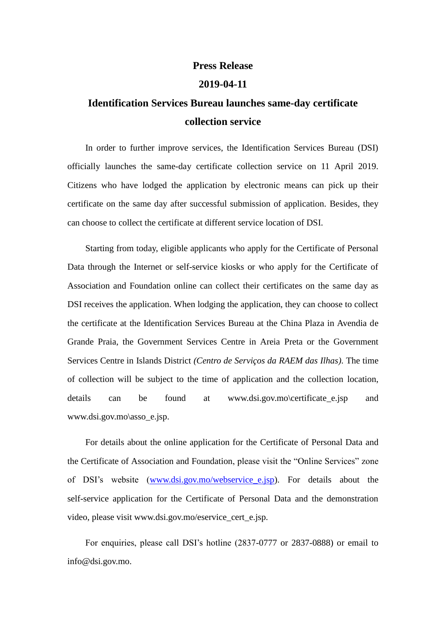## **Press Release**

## **2019-04-11**

## **Identification Services Bureau launches same-day certificate collection service**

In order to further improve services, the Identification Services Bureau (DSI) officially launches the same-day certificate collection service on 11 April 2019. Citizens who have lodged the application by electronic means can pick up their certificate on the same day after successful submission of application. Besides, they can choose to collect the certificate at different service location of DSI.

Starting from today, eligible applicants who apply for the Certificate of Personal Data through the Internet or self-service kiosks or who apply for the Certificate of Association and Foundation online can collect their certificates on the same day as DSI receives the application. When lodging the application, they can choose to collect the certificate at the Identification Services Bureau at the China Plaza in Avendia de Grande Praia, the Government Services Centre in Areia Preta or the Government Services Centre in Islands District *(Centro de Serviços da RAEM das Ilhas)*. The time of collection will be subject to the time of application and the collection location, details can be found at www.dsi.gov.mo\certificate\_e.jsp and www.dsi.gov.mo\asso\_e.jsp.

For details about the online application for the Certificate of Personal Data and the Certificate of Association and Foundation, please visit the "Online Services" zone of DSI's website [\(www.dsi.gov.mo/webservice\\_e.jsp\)](http://www.dsi.gov.mo/webservice_e.jsp). For details about the self-service application for the Certificate of Personal Data and the demonstration video, please visit www.dsi.gov.mo/eservice\_cert\_e.jsp.

For enquiries, please call DSI's hotline (2837-0777 or 2837-0888) or email to info@dsi.gov.mo.